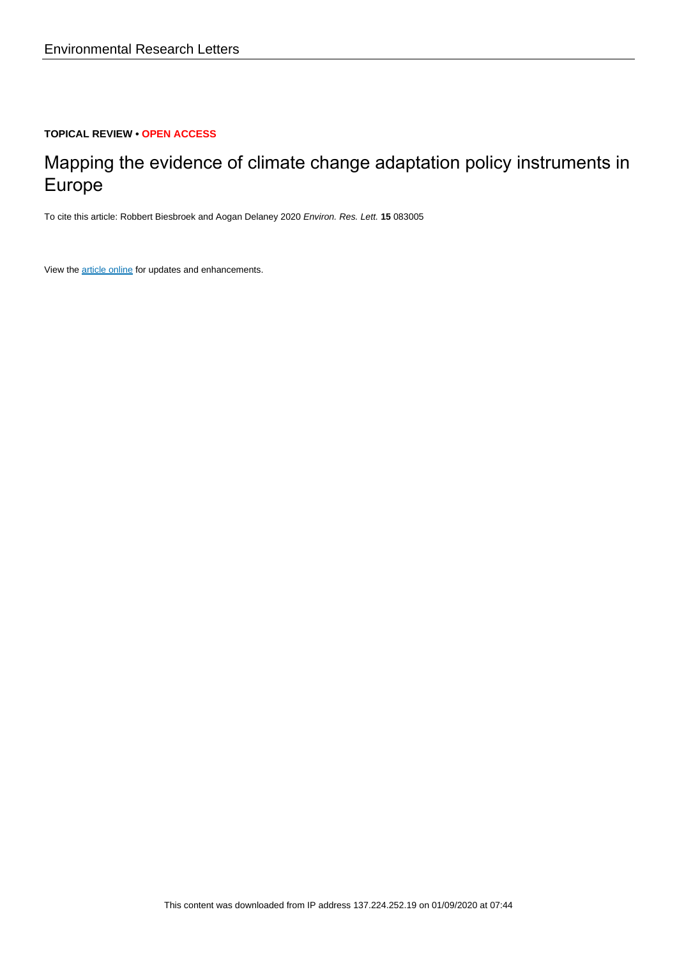## **TOPICAL REVIEW • OPEN ACCESS**

# Mapping the evidence of climate change adaptation policy instruments in Europe

To cite this article: Robbert Biesbroek and Aogan Delaney 2020 Environ. Res. Lett. **15** 083005

View the [article online](https://doi.org/10.1088/1748-9326/ab8fd1) for updates and enhancements.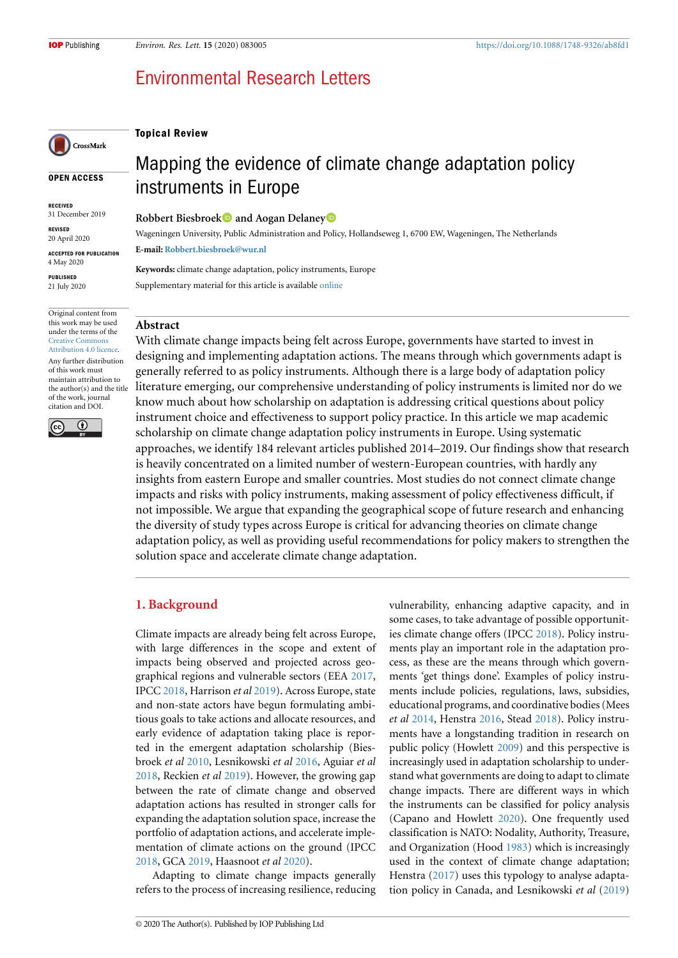**Topical Review**

## Environmental Research Letters



#### **OPEN ACCESS**

**RECEIVED** 31 December 2019

**REVISED** 20 April 2020 **ACCEPTED FOR PUBLICATION**

4 May 2020

**PUBLISHED** 21 July 2020

Original content from this work may be used under the terms of the [Creative Commons](https://creativecommons.org/licenses/by/4.0/) [Attribution 4.0 licence](https://creativecommons.org/licenses/by/4.0/). Any further distribution of this work must maintain attribution to the author(s) and the title of the work, journal citation and DOI.



## Mapping the evidence of climate change adaptation policy instruments in Europe

**Robbert Biesbroek and Aogan Delaney**

Wageningen University, Public Administration and Policy, Hollandseweg 1, 6700 EW, Wageningen, The Netherlands **E-mail: [Robbert.biesbroek@wur.nl](mailto:Robbert.biesbroek@wur.nl)**

**Keywords:** climate change adaptation, policy instruments, Europe Supplementary material for this article is available [online](https://doi.org/10.1088/1748-9326/ab8fd1)

#### **Abstract**

With climate change impacts being felt across Europe, governments have started to invest in designing and implementing adaptation actions. The means through which governments adapt is generally referred to as policy instruments. Although there is a large body of adaptation policy literature emerging, our comprehensive understanding of policy instruments is limited nor do we know much about how scholarship on adaptation is addressing critical questions about policy instrument choice and effectiveness to support policy practice. In this article we map academic scholarship on climate change adaptation policy instruments in Europe. Using systematic approaches, we identify 184 relevant articles published 2014–2019. Our findings show that research is heavily concentrated on a limited number of western-European countries, with hardly any insights from eastern Europe and smaller countries. Most studies do not connect climate change impacts and risks with policy instruments, making assessment of policy effectiveness difficult, if not impossible. We argue that expanding the geographical scope of future research and enhancing the diversity of study types across Europe is critical for advancing theories on climate change adaptation policy, as well as providing useful recommendations for policy makers to strengthen the solution space and accelerate climate change adaptation.

## **1. Background**

Climate impacts are already being felt across Europe, with large differences in the scope and extent of impacts being observed and projected across geographical regions and vulnerable sectors (EEA [2017,](#page-8-0) IPCC [2018](#page-9-0), Harrison *et al* [2019](#page-9-1)). Across Europe, state and non-state actors have begun formulating ambitious goals to take actions and allocate resources, and early evidence of adaptation taking place is reported in the emergent adaptation scholarship (Biesbroek *et al* [2010](#page-8-1), Lesnikowski *et al* [2016,](#page-9-2) Aguiar *et al* [2018](#page-8-2), Reckien *et al* [2019](#page-9-3)). However, the growing gap between the rate of climate change and observed adaptation actions has resulted in stronger calls for expanding the adaptation solution space, increase the portfolio of adaptation actions, and accelerate implementation of climate actions on the ground (IPCC [2018](#page-9-0), GCA [2019,](#page-8-3) Haasnoot *et al* [2020](#page-8-4)).

Adapting to climate change impacts generally refers to the process of increasing resilience, reducing vulnerability, enhancing adaptive capacity, and in some cases, to take advantage of possible opportunities climate change offers (IPCC [2018\)](#page-9-0). Policy instruments play an important role in the adaptation process, as these are the means through which governments 'get things done'. Examples of policy instruments include policies, regulations, laws, subsidies, educational programs, and coordinative bodies (Mees *et al* [2014](#page-9-4), Henstra [2016](#page-9-5), Stead [2018](#page-9-6)). Policy instruments have a longstanding tradition in research on public policy (Howlett [2009\)](#page-9-7) and this perspective is increasingly used in adaptation scholarship to understand what governments are doing to adapt to climate change impacts. There are different ways in which the instruments can be classified for policy analysis (Capano and Howlett [2020\)](#page-8-5). One frequently used classification is NATO: Nodality, Authority, Treasure, and Organization (Hood [1983](#page-9-8)) which is increasingly used in the context of climate change adaptation; Henstra [\(2017](#page-9-9)) uses this typology to analyse adaptation policy in Canada, and Lesnikowski *et al* ([2019](#page-9-10))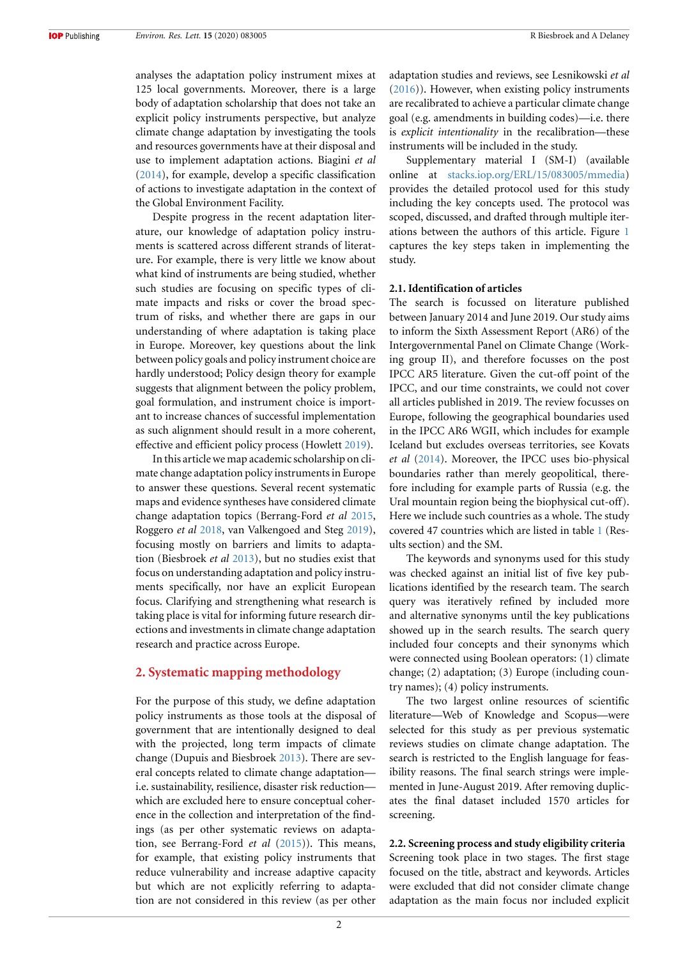analyses the adaptation policy instrument mixes at 125 local governments. Moreover, there is a large body of adaptation scholarship that does not take an explicit policy instruments perspective, but analyze climate change adaptation by investigating the tools and resources governments have at their disposal and use to implement adaptation actions. Biagini *et al* ([2014\)](#page-8-6), for example, develop a specific classification of actions to investigate adaptation in the context of the Global Environment Facility.

Despite progress in the recent adaptation literature, our knowledge of adaptation policy instruments is scattered across different strands of literature. For example, there is very little we know about what kind of instruments are being studied, whether such studies are focusing on specific types of climate impacts and risks or cover the broad spectrum of risks, and whether there are gaps in our understanding of where adaptation is taking place in Europe. Moreover, key questions about the link between policy goals and policy instrument choice are hardly understood; Policy design theory for example suggests that alignment between the policy problem, goal formulation, and instrument choice is important to increase chances of successful implementation as such alignment should result in a more coherent, effective and efficient policy process (Howlett [2019\)](#page-9-11).

In this article we map academic scholarship on climate change adaptation policy instruments in Europe to answer these questions. Several recent systematic maps and evidence syntheses have considered climate change adaptation topics (Berrang-Ford *et al* [2015,](#page-8-7) Roggero *et al* [2018,](#page-9-12) van Valkengoed and Steg [2019\)](#page-9-13), focusing mostly on barriers and limits to adaptation (Biesbroek *et al* [2013](#page-8-8)), but no studies exist that focus on understanding adaptation and policy instruments specifically, nor have an explicit European focus. Clarifying and strengthening what research is taking place is vital for informing future research directions and investments in climate change adaptation research and practice across Europe.

### **2. Systematic mapping methodology**

For the purpose of this study, we define adaptation policy instruments as those tools at the disposal of government that are intentionally designed to deal with the projected, long term impacts of climate change (Dupuis and Biesbroek [2013](#page-8-9)). There are several concepts related to climate change adaptation i.e. sustainability, resilience, disaster risk reduction which are excluded here to ensure conceptual coherence in the collection and interpretation of the findings (as per other systematic reviews on adaptation, see Berrang-Ford *et al* ([2015\)](#page-8-7)). This means, for example, that existing policy instruments that reduce vulnerability and increase adaptive capacity but which are not explicitly referring to adaptation are not considered in this review (as per other

adaptation studies and reviews, see Lesnikowski *et al* ([2016\)](#page-9-2)). However, when existing policy instruments are recalibrated to achieve a particular climate change goal (e.g. amendments in building codes)—i.e. there is *explicit intentionality* in the recalibration—these instruments will be included in the study.

Supplementary material I (SM-I) (available online at [stacks.iop.org/ERL/15/083005/mmedia](https://stacks.iop.org/ERL/15/083005/mmedia)) provides the detailed protocol used for this study including the key concepts used. The protocol was scoped, discussed, and drafted through multiple iterations between the authors of this article. Figure [1](#page-3-0) captures the key steps taken in implementing the study.

#### **2.1. Identification of articles**

The search is focussed on literature published between January 2014 and June 2019. Our study aims to inform the Sixth Assessment Report (AR6) of the Intergovernmental Panel on Climate Change (Working group II), and therefore focusses on the post IPCC AR5 literature. Given the cut-off point of the IPCC, and our time constraints, we could not cover all articles published in 2019. The review focusses on Europe, following the geographical boundaries used in the IPCC AR6 WGII, which includes for example Iceland but excludes overseas territories, see Kovats *et al* [\(2014\)](#page-9-14). Moreover, the IPCC uses bio-physical boundaries rather than merely geopolitical, therefore including for example parts of Russia (e.g. the Ural mountain region being the biophysical cut-off). Here we include such countries as a whole. The study covered 47 countries which are listed in table [1](#page-4-0) (Results section) and the SM.

The keywords and synonyms used for this study was checked against an initial list of five key publications identified by the research team. The search query was iteratively refined by included more and alternative synonyms until the key publications showed up in the search results. The search query included four concepts and their synonyms which were connected using Boolean operators: (1) climate change; (2) adaptation; (3) Europe (including country names); (4) policy instruments.

The two largest online resources of scientific literature—Web of Knowledge and Scopus—were selected for this study as per previous systematic reviews studies on climate change adaptation. The search is restricted to the English language for feasibility reasons. The final search strings were implemented in June-August 2019. After removing duplicates the final dataset included 1570 articles for screening.

#### **2.2. Screening process and study eligibility criteria**

Screening took place in two stages. The first stage focused on the title, abstract and keywords. Articles were excluded that did not consider climate change adaptation as the main focus nor included explicit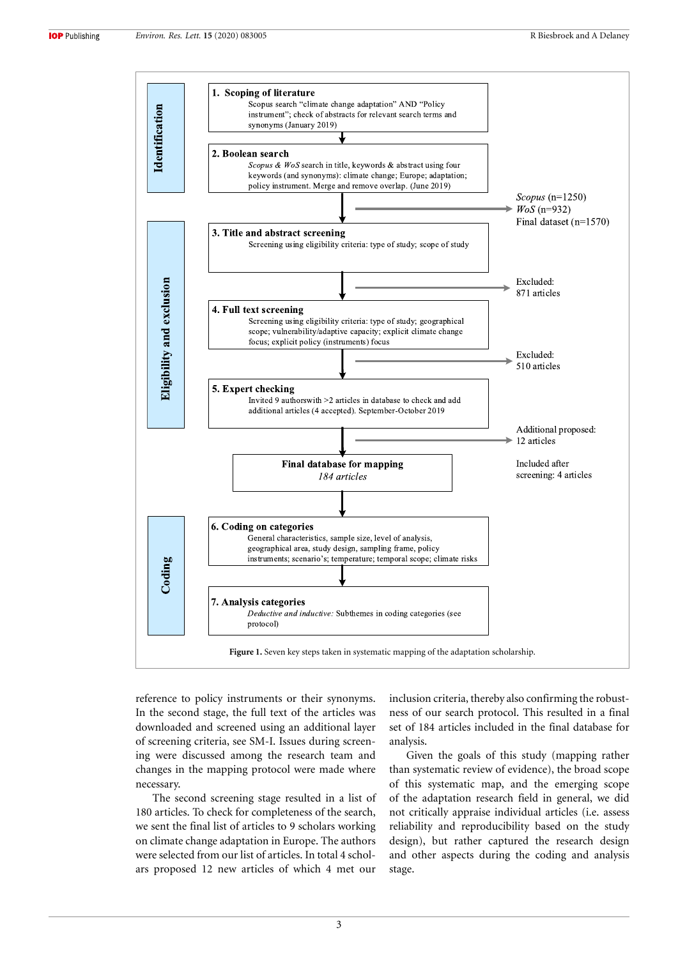<span id="page-3-0"></span>

reference to policy instruments or their synonyms. In the second stage, the full text of the articles was downloaded and screened using an additional layer of screening criteria, see SM-I. Issues during screening were discussed among the research team and changes in the mapping protocol were made where necessary.

The second screening stage resulted in a list of 180 articles. To check for completeness of the search, we sent the final list of articles to 9 scholars working on climate change adaptation in Europe. The authors were selected from our list of articles. In total 4 scholars proposed 12 new articles of which 4 met our

inclusion criteria, thereby also confirming the robustness of our search protocol. This resulted in a final set of 184 articles included in the final database for analysis.

Given the goals of this study (mapping rather than systematic review of evidence), the broad scope of this systematic map, and the emerging scope of the adaptation research field in general, we did not critically appraise individual articles (i.e. assess reliability and reproducibility based on the study design), but rather captured the research design and other aspects during the coding and analysis stage.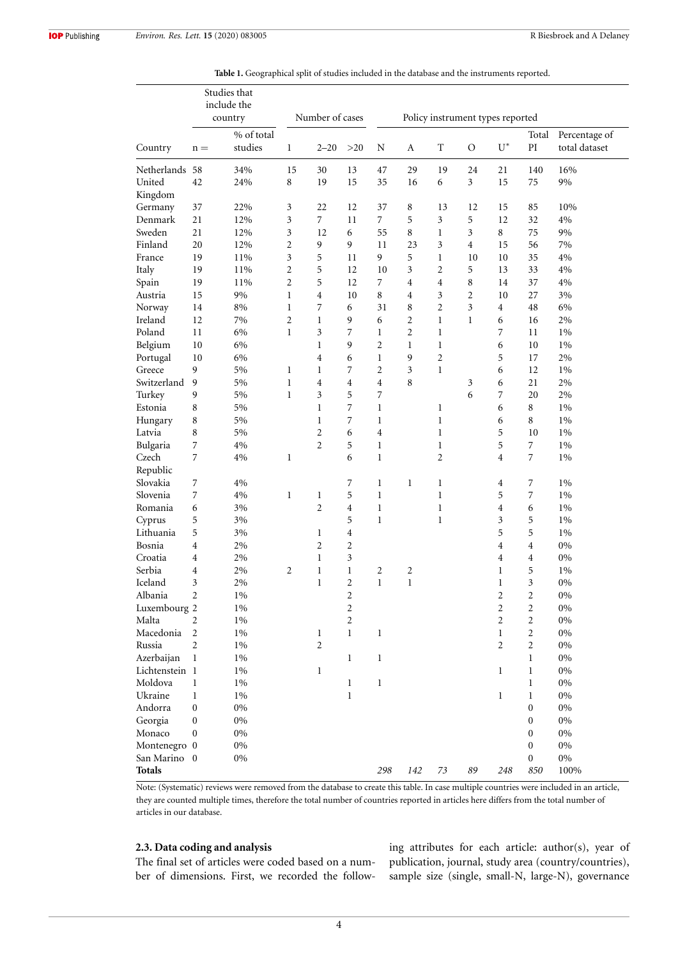<span id="page-4-0"></span>

|                   | Studies that<br>include the<br>country |                       | Number of cases |                |                | Policy instrument types reported |                         |                       |                |                         |                                     |                                |  |  |
|-------------------|----------------------------------------|-----------------------|-----------------|----------------|----------------|----------------------------------|-------------------------|-----------------------|----------------|-------------------------|-------------------------------------|--------------------------------|--|--|
| Country           | $n =$                                  | % of total<br>studies | 1               | $2 - 20$       | >20            | N                                | A                       | T                     | O              | $U^*$                   | Total<br>$\mathop{\rm PI}\nolimits$ | Percentage of<br>total dataset |  |  |
| Netherlands 58    |                                        | 34%                   | 15              | 30             | 13             | 47                               | 29                      | 19<br>24<br>21<br>140 |                | 16%                     |                                     |                                |  |  |
| United<br>Kingdom | 42                                     | 24%                   | 8               | 19             | 15             | 35                               | 16                      | 6                     | 3              | 15                      | 75                                  | 9%                             |  |  |
| Germany           | 37                                     | 22%                   | 3               | 22             | 12             | 37                               | 8                       | 13                    | 12             | 15                      | 85                                  | 10%                            |  |  |
| Denmark           | 21                                     | 12%                   | 3               | 7              | 11             | 7                                | 5                       | 3                     | 5              | 12                      | 32                                  | 4%                             |  |  |
| Sweden            | 21                                     | 12%                   | 3               | 12             | 6              | 55                               | 8                       | 1                     | 3              | 8                       | 75                                  | 9%                             |  |  |
| Finland           | 20                                     | 12%                   | 2               | 9              | 9              | 11                               | 23                      | 3                     | $\overline{4}$ | 15                      | 56                                  | 7%                             |  |  |
| France            | 19                                     | 11%                   | 3               | 5              | 11             | 9                                | 5                       | 1                     | 10             | 10                      | 35                                  | 4%                             |  |  |
| Italy             | 19                                     | 11%                   | 2               | 5              | 12             | 10                               | 3                       | $\mathfrak{2}$        | 5              | 13                      | 33                                  | 4%                             |  |  |
| Spain             | 19                                     | 11%                   | 2               | 5              | 12             | 7                                | 4                       | 4                     | $\,$ 8 $\,$    | 14                      | 37                                  | $4\%$                          |  |  |
| Austria           | 15                                     | 9%                    | $\mathbf{1}$    | 4              | 10             | 8                                | 4                       | 3                     | $\overline{2}$ | 10                      | 27                                  | 3%                             |  |  |
| Norway            | 14                                     | 8%                    | $\mathbf{1}$    | 7              | 6              | 31                               | 8                       | $\mathfrak{2}$        | 3              | 4                       | 48                                  | 6%                             |  |  |
| Ireland           | 12                                     | 7%                    | 2               | 1              | 9              | 6                                | 2                       | 1                     | 1              | 6                       | 16                                  | 2%                             |  |  |
| Poland            | 11                                     | 6%                    | $\mathbf{1}$    | 3              | 7              | 1                                | $\overline{c}$          | 1                     |                | 7                       | 11                                  | $1\%$                          |  |  |
| Belgium           | 10                                     | 6%                    |                 | $\mathbf{1}$   | 9              | $\overline{2}$                   | $\mathbf{1}$            | 1                     |                | 6                       | 10                                  | 1%                             |  |  |
| Portugal          | 10                                     | 6%                    |                 | 4              | 6              | $\mathbf{1}$                     | 9                       | $\overline{c}$        |                | 5                       | 17                                  | 2%                             |  |  |
| Greece            | 9                                      | 5%                    | 1               | 1              | 7              | $\overline{2}$                   | 3                       | 1                     |                | 6                       | 12                                  | $1\%$                          |  |  |
| Switzerland       | 9                                      | 5%                    | $\mathbf{1}$    | 4              | 4              | $\overline{4}$                   | 8                       |                       | 3              | 6                       | 21                                  | 2%                             |  |  |
| Turkey            | 9                                      | 5%                    | 1               | 3              | 5              | 7                                |                         |                       | 6              | 7                       | 20                                  | 2%                             |  |  |
| Estonia           | 8                                      | 5%                    |                 | 1              | 7              | 1                                |                         | 1                     |                | 6                       | 8                                   | $1\%$                          |  |  |
| Hungary           | 8                                      | 5%                    |                 | 1              | 7              | $\mathbf{1}$                     |                         | 1                     |                | 6                       | 8                                   | 1%                             |  |  |
| Latvia            | 8                                      | 5%                    |                 | 2              | 6              | $\overline{4}$                   |                         | 1                     |                | 5                       | 10                                  | $1\%$                          |  |  |
| Bulgaria          | 7                                      | $4\%$                 |                 | $\overline{2}$ | 5              | 1                                |                         | 1                     |                | 5                       | 7                                   | $1\%$                          |  |  |
| Czech<br>Republic | 7                                      | 4%                    | 1               |                | 6              | 1                                |                         | $\mathfrak{2}$        |                | 4                       | 7                                   | 1%                             |  |  |
| Slovakia          | 7                                      | $4\%$                 |                 |                | 7              | 1                                | $\mathbf 1$             | 1                     |                | 4                       | 7                                   | 1%                             |  |  |
| Slovenia          | 7                                      | $4\%$                 | $\mathbf{1}$    | $\mathbf{1}$   | 5              | $\mathbf{1}$                     |                         | $\mathbf{1}$          |                | 5                       | 7                                   | 1%                             |  |  |
| Romania           | 6                                      | 3%                    |                 | $\overline{2}$ | 4              | $\mathbf{1}$                     |                         | 1                     |                | 4                       | 6                                   | 1%                             |  |  |
| Cyprus            | 5                                      | 3%                    |                 |                | 5              | 1                                |                         | 1                     |                | 3                       | 5                                   | 1%                             |  |  |
| Lithuania         | 5                                      | 3%                    |                 | 1              | 4              |                                  |                         |                       |                | 5                       | 5                                   | 1%                             |  |  |
| Bosnia            | 4                                      | 2%                    |                 | 2              | $\overline{c}$ |                                  |                         |                       |                | 4                       | 4                                   | 0%                             |  |  |
| Croatia           | 4                                      | 2%                    |                 | $\mathbf{1}$   | 3              |                                  |                         |                       |                | 4                       | 4                                   | $0\%$                          |  |  |
| Serbia            | 4                                      | 2%                    | $\overline{2}$  | $\mathbf{1}$   | $\mathbf{1}$   | 2                                | $\overline{\mathbf{c}}$ |                       |                | $\mathbf 1$             | 5                                   | $1\%$                          |  |  |
| Iceland           | 3                                      | 2%                    |                 | $\mathbf{1}$   | $\overline{c}$ | $\mathbf{1}$                     | $\mathbf{1}$            |                       |                | $\mathbf{1}$            | 3                                   | $0\%$                          |  |  |
| Albania           | 2                                      | $1\%$                 |                 |                | 2              |                                  |                         |                       |                | 2                       | $\overline{\mathbf{c}}$             | $0\%$                          |  |  |
| Luxembourg 2      |                                        | 1%                    |                 |                | 2              |                                  |                         |                       |                | $\overline{\mathbf{c}}$ | $\overline{\mathbf{c}}$             | $0\%$                          |  |  |
| Malta             | 2                                      | $1\%$                 |                 |                | 2              |                                  |                         |                       |                | 2                       | $\overline{c}$                      | $0\%$                          |  |  |
| Macedonia         | 2                                      | 1%                    |                 | 1              | 1              | $\mathbf{1}$                     |                         |                       |                | $\mathbf 1$             | $\overline{\mathbf{c}}$             | $0\%$                          |  |  |
| Russia            | 2                                      | 1%                    |                 | 2              |                |                                  |                         |                       |                | $\overline{c}$          | $\sqrt{2}$                          | $0\%$                          |  |  |
| Azerbaijan        | 1                                      | 1%                    |                 |                | $\mathbf{1}$   | $\mathbf{1}$                     |                         |                       |                |                         | $\mathbf{1}$                        | $0\%$                          |  |  |
| Lichtenstein 1    |                                        | $1\%$                 |                 | 1              |                |                                  |                         |                       |                | 1                       | $\mathbf{1}$                        | $0\%$                          |  |  |
| Moldova           | 1                                      | 1%                    |                 |                | $\mathbf{1}$   | 1                                |                         |                       |                |                         | 1                                   | $0\%$                          |  |  |
| Ukraine           | 1                                      | 1%                    |                 |                | $\mathbf{1}$   |                                  |                         |                       |                | 1                       | 1                                   | $0\%$                          |  |  |
| Andorra           | $\boldsymbol{0}$                       | $0\%$                 |                 |                |                |                                  |                         |                       |                |                         | $\boldsymbol{0}$                    | $0\%$                          |  |  |
| Georgia           | $\boldsymbol{0}$                       | $0\%$                 |                 |                |                |                                  |                         |                       |                |                         | 0                                   | $0\%$                          |  |  |
| Monaco            | $\boldsymbol{0}$                       | $0\%$                 |                 |                |                |                                  |                         |                       |                |                         | 0                                   | $0\%$                          |  |  |
| Montenegro 0      |                                        | $0\%$                 |                 |                |                |                                  |                         |                       |                |                         | $\boldsymbol{0}$                    | $0\%$                          |  |  |
| San Marino 0      |                                        | 0%                    |                 |                |                |                                  |                         |                       |                |                         | 0                                   | $0\%$                          |  |  |
| Totals            |                                        |                       |                 |                |                | 298                              | 142                     | 73                    | 89             | 248                     | 850                                 | 100%                           |  |  |

**Table 1.** Geographical split of studies included in the database and the instruments reported.

Note: (Systematic) reviews were removed from the database to create this table. In case multiple countries were included in an article, they are counted multiple times, therefore the total number of countries reported in articles here differs from the total number of articles in our database.

## **2.3. Data coding and analysis**

The final set of articles were coded based on a number of dimensions. First, we recorded the following attributes for each article: author(s), year of publication, journal, study area (country/countries), sample size (single, small-N, large-N), governance

4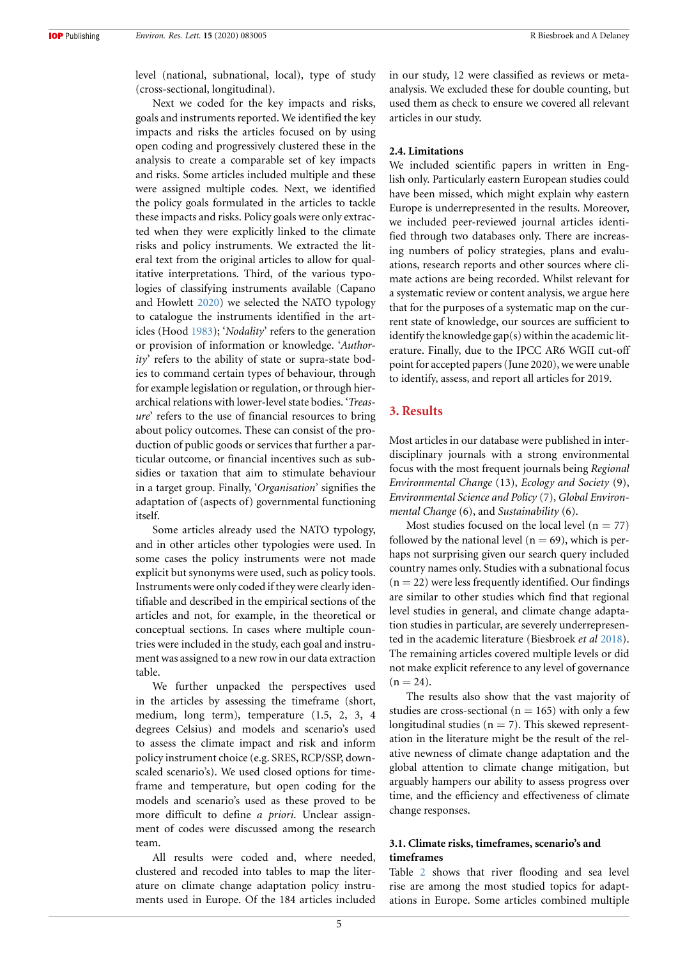level (national, subnational, local), type of study (cross-sectional, longitudinal).

Next we coded for the key impacts and risks, goals and instruments reported. We identified the key impacts and risks the articles focused on by using open coding and progressively clustered these in the analysis to create a comparable set of key impacts and risks. Some articles included multiple and these were assigned multiple codes. Next, we identified the policy goals formulated in the articles to tackle these impacts and risks. Policy goals were only extracted when they were explicitly linked to the climate risks and policy instruments. We extracted the literal text from the original articles to allow for qualitative interpretations. Third, of the various typologies of classifying instruments available (Capano and Howlett [2020\)](#page-8-5) we selected the NATO typology to catalogue the instruments identified in the articles (Hood [1983](#page-9-8)); '*Nodality*' refers to the generation or provision of information or knowledge. '*Authority*' refers to the ability of state or supra-state bodies to command certain types of behaviour, through for example legislation or regulation, or through hierarchical relations with lower-level state bodies. '*Treasure*' refers to the use of financial resources to bring about policy outcomes. These can consist of the production of public goods or services that further a particular outcome, or financial incentives such as subsidies or taxation that aim to stimulate behaviour in a target group. Finally, '*Organisation*' signifies the adaptation of (aspects of) governmental functioning itself.

Some articles already used the NATO typology, and in other articles other typologies were used. In some cases the policy instruments were not made explicit but synonyms were used, such as policy tools. Instruments were only coded if they were clearly identifiable and described in the empirical sections of the articles and not, for example, in the theoretical or conceptual sections. In cases where multiple countries were included in the study, each goal and instrument was assigned to a new row in our data extraction table.

We further unpacked the perspectives used in the articles by assessing the timeframe (short, medium, long term), temperature (1.5, 2, 3, 4 degrees Celsius) and models and scenario's used to assess the climate impact and risk and inform policy instrument choice (e.g. SRES, RCP/SSP, downscaled scenario's). We used closed options for timeframe and temperature, but open coding for the models and scenario's used as these proved to be more difficult to define *a priori*. Unclear assignment of codes were discussed among the research team.

All results were coded and, where needed, clustered and recoded into tables to map the literature on climate change adaptation policy instruments used in Europe. Of the 184 articles included in our study, 12 were classified as reviews or metaanalysis. We excluded these for double counting, but used them as check to ensure we covered all relevant articles in our study.

#### **2.4. Limitations**

We included scientific papers in written in English only. Particularly eastern European studies could have been missed, which might explain why eastern Europe is underrepresented in the results. Moreover, we included peer-reviewed journal articles identified through two databases only. There are increasing numbers of policy strategies, plans and evaluations, research reports and other sources where climate actions are being recorded. Whilst relevant for a systematic review or content analysis, we argue here that for the purposes of a systematic map on the current state of knowledge, our sources are sufficient to identify the knowledge gap(s) within the academic literature. Finally, due to the IPCC AR6 WGII cut-off point for accepted papers (June 2020), we were unable to identify, assess, and report all articles for 2019.

## **3. Results**

Most articles in our database were published in interdisciplinary journals with a strong environmental focus with the most frequent journals being *Regional Environmental Change* (13), *Ecology and Society* (9), *Environmental Science and Policy* (7), *Global Environmental Change* (6), and *Sustainability* (6).

Most studies focused on the local level  $(n = 77)$ followed by the national level ( $n = 69$ ), which is perhaps not surprising given our search query included country names only. Studies with a subnational focus  $(n = 22)$  were less frequently identified. Our findings are similar to other studies which find that regional level studies in general, and climate change adaptation studies in particular, are severely underrepresented in the academic literature (Biesbroek *et al* [2018\)](#page-8-10). The remaining articles covered multiple levels or did not make explicit reference to any level of governance  $(n = 24)$ .

The results also show that the vast majority of studies are cross-sectional ( $n = 165$ ) with only a few longitudinal studies ( $n = 7$ ). This skewed representation in the literature might be the result of the relative newness of climate change adaptation and the global attention to climate change mitigation, but arguably hampers our ability to assess progress over time, and the efficiency and effectiveness of climate change responses.

## **3.1. Climate risks, timeframes, scenario's and timeframes**

Table [2](#page-7-0) shows that river flooding and sea level rise are among the most studied topics for adaptations in Europe. Some articles combined multiple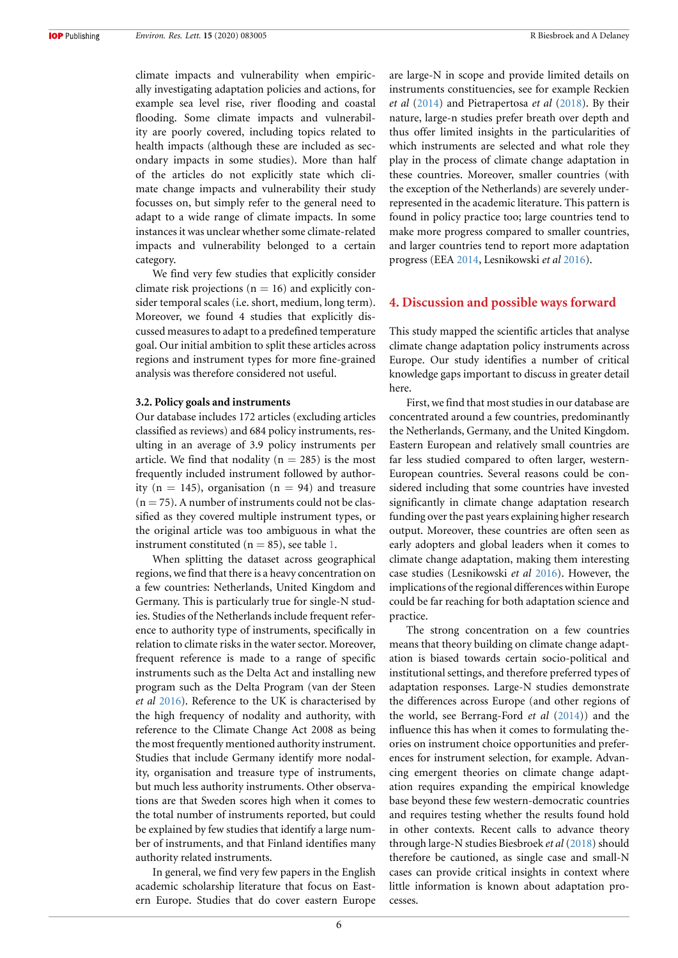climate impacts and vulnerability when empirically investigating adaptation policies and actions, for example sea level rise, river flooding and coastal flooding. Some climate impacts and vulnerability are poorly covered, including topics related to health impacts (although these are included as secondary impacts in some studies). More than half of the articles do not explicitly state which climate change impacts and vulnerability their study focusses on, but simply refer to the general need to adapt to a wide range of climate impacts. In some instances it was unclear whether some climate-related impacts and vulnerability belonged to a certain category.

We find very few studies that explicitly consider climate risk projections ( $n = 16$ ) and explicitly consider temporal scales (i.e. short, medium, long term). Moreover, we found 4 studies that explicitly discussed measures to adapt to a predefined temperature goal. Our initial ambition to split these articles across regions and instrument types for more fine-grained analysis was therefore considered not useful.

#### **3.2. Policy goals and instruments**

Our database includes 172 articles (excluding articles classified as reviews) and 684 policy instruments, resulting in an average of 3.9 policy instruments per article. We find that nodality ( $n = 285$ ) is the most frequently included instrument followed by authority ( $n = 145$ ), organisation ( $n = 94$ ) and treasure  $(n = 75)$ . A number of instruments could not be classified as they covered multiple instrument types, or the original article was too ambiguous in what the instrument constituted ( $n = 85$ ), see table [1.](#page-4-0)

When splitting the dataset across geographical regions, we find that there is a heavy concentration on a few countries: Netherlands, United Kingdom and Germany. This is particularly true for single-N studies. Studies of the Netherlands include frequent reference to authority type of instruments, specifically in relation to climate risks in the water sector. Moreover, frequent reference is made to a range of specific instruments such as the Delta Act and installing new program such as the Delta Program (van der Steen *et al* [2016](#page-9-15)). Reference to the UK is characterised by the high frequency of nodality and authority, with reference to the Climate Change Act 2008 as being the most frequently mentioned authority instrument. Studies that include Germany identify more nodality, organisation and treasure type of instruments, but much less authority instruments. Other observations are that Sweden scores high when it comes to the total number of instruments reported, but could be explained by few studies that identify a large number of instruments, and that Finland identifies many authority related instruments.

In general, we find very few papers in the English academic scholarship literature that focus on Eastern Europe. Studies that do cover eastern Europe are large-N in scope and provide limited details on instruments constituencies, see for example Reckien *et al* [\(2014\)](#page-9-16) and Pietrapertosa *et al* ([2018\)](#page-9-17). By their nature, large-n studies prefer breath over depth and thus offer limited insights in the particularities of which instruments are selected and what role they play in the process of climate change adaptation in these countries. Moreover, smaller countries (with the exception of the Netherlands) are severely underrepresented in the academic literature. This pattern is found in policy practice too; large countries tend to make more progress compared to smaller countries, and larger countries tend to report more adaptation progress (EEA [2014](#page-8-11), Lesnikowski *et al* [2016](#page-9-2)).

#### **4. Discussion and possible ways forward**

This study mapped the scientific articles that analyse climate change adaptation policy instruments across Europe. Our study identifies a number of critical knowledge gaps important to discuss in greater detail here.

First, we find that most studies in our database are concentrated around a few countries, predominantly the Netherlands, Germany, and the United Kingdom. Eastern European and relatively small countries are far less studied compared to often larger, western-European countries. Several reasons could be considered including that some countries have invested significantly in climate change adaptation research funding over the past years explaining higher research output. Moreover, these countries are often seen as early adopters and global leaders when it comes to climate change adaptation, making them interesting case studies (Lesnikowski *et al* [2016](#page-9-2)). However, the implications of the regional differences within Europe could be far reaching for both adaptation science and practice.

The strong concentration on a few countries means that theory building on climate change adaptation is biased towards certain socio-political and institutional settings, and therefore preferred types of adaptation responses. Large-N studies demonstrate the differences across Europe (and other regions of the world, see Berrang-Ford *et al* [\(2014](#page-8-12))) and the influence this has when it comes to formulating theories on instrument choice opportunities and preferences for instrument selection, for example. Advancing emergent theories on climate change adaptation requires expanding the empirical knowledge base beyond these few western-democratic countries and requires testing whether the results found hold in other contexts. Recent calls to advance theory through large-N studies Biesbroek *et al* ([2018\)](#page-8-10) should therefore be cautioned, as single case and small-N cases can provide critical insights in context where little information is known about adaptation processes.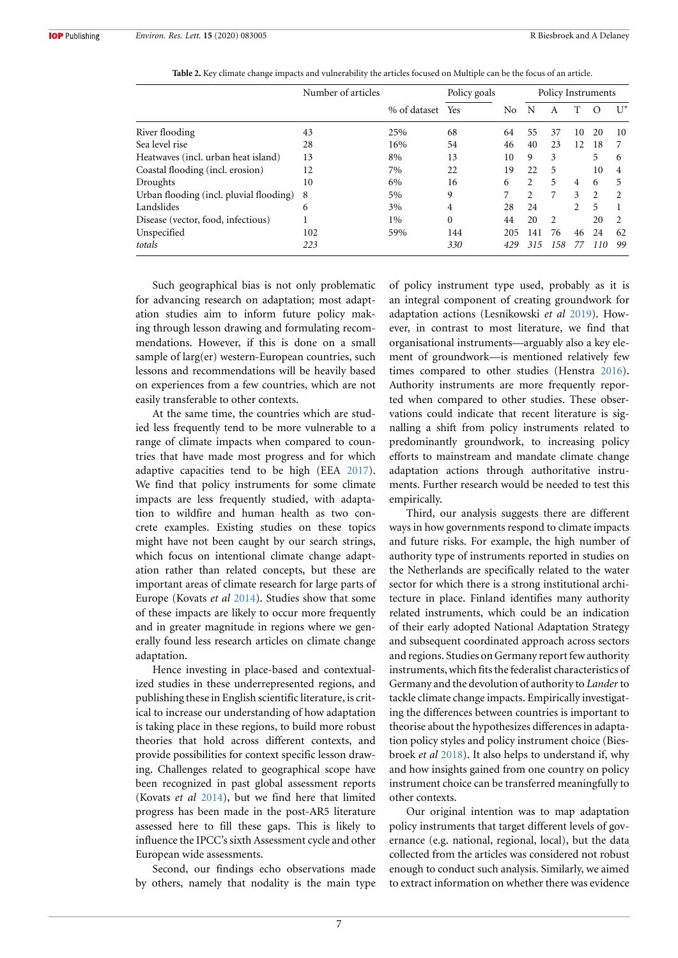<span id="page-7-0"></span>

|                                         | Number of articles |              | Policy goals |     | Policy Instruments |                |    |          |                |
|-----------------------------------------|--------------------|--------------|--------------|-----|--------------------|----------------|----|----------|----------------|
|                                         |                    | % of dataset | Yes          | No  | N                  | A              |    | $\left($ | $U^*$          |
| River flooding                          | 43                 | 25%          | 68           | 64  | 55                 | 37             | 10 | 20       | 10             |
| Sea level rise                          | 28                 | 16%          | 54           | 46  | 40                 | 23             | 12 | 18       |                |
| Heatwaves (incl. urban heat island)     | 13                 | 8%           | 13           | 10  | 9                  | 3              |    | 5        | 6              |
| Coastal flooding (incl. erosion)        | 12                 | 7%           | 22           | 19  | 22                 | 5              |    | 10       | 4              |
| Droughts                                | 10                 | 6%           | 16           | 6   | 2                  | 5              | 4  | 6        | 5.             |
| Urban flooding (incl. pluvial flooding) | 8                  | 5%           | 9            | 7   | $\mathfrak{D}$     | 7              | 3  | 2        | $\mathfrak{D}$ |
| Landslides                              | 6                  | 3%           | 4            | 28  | 24                 |                | 2  | 5        |                |
| Disease (vector, food, infectious)      |                    | $1\%$        | $\theta$     | 44  | 20                 | $\mathfrak{D}$ |    | 20       |                |
| Unspecified                             | 102                | 59%          | 144          | 205 | 141                | 76             | 46 | 24       | 62             |
| totals                                  | 223                |              | 330          | 429 | 315                | 158            | 77 | 110      | 99             |

**Table 2.** Key climate change impacts and vulnerability the articles focused on Multiple can be the focus of an article.

Such geographical bias is not only problematic for advancing research on adaptation; most adaptation studies aim to inform future policy making through lesson drawing and formulating recommendations. However, if this is done on a small sample of larg(er) western-European countries, such lessons and recommendations will be heavily based on experiences from a few countries, which are not easily transferable to other contexts.

At the same time, the countries which are studied less frequently tend to be more vulnerable to a range of climate impacts when compared to countries that have made most progress and for which adaptive capacities tend to be high (EEA [2017\)](#page-8-0). We find that policy instruments for some climate impacts are less frequently studied, with adaptation to wildfire and human health as two concrete examples. Existing studies on these topics might have not been caught by our search strings, which focus on intentional climate change adaptation rather than related concepts, but these are important areas of climate research for large parts of Europe (Kovats *et al* [2014\)](#page-9-14). Studies show that some of these impacts are likely to occur more frequently and in greater magnitude in regions where we generally found less research articles on climate change adaptation.

Hence investing in place-based and contextualized studies in these underrepresented regions, and publishing these in English scientific literature, is critical to increase our understanding of how adaptation is taking place in these regions, to build more robust theories that hold across different contexts, and provide possibilities for context specific lesson drawing. Challenges related to geographical scope have been recognized in past global assessment reports (Kovats *et al* [2014\)](#page-9-14), but we find here that limited progress has been made in the post-AR5 literature assessed here to fill these gaps. This is likely to influence the IPCC's sixth Assessment cycle and other European wide assessments.

Second, our findings echo observations made by others, namely that nodality is the main type of policy instrument type used, probably as it is an integral component of creating groundwork for adaptation actions (Lesnikowski *et al* [2019\)](#page-9-10). However, in contrast to most literature, we find that organisational instruments—arguably also a key element of groundwork—is mentioned relatively few times compared to other studies (Henstra [2016\)](#page-9-5). Authority instruments are more frequently reported when compared to other studies. These observations could indicate that recent literature is signalling a shift from policy instruments related to predominantly groundwork, to increasing policy efforts to mainstream and mandate climate change adaptation actions through authoritative instruments. Further research would be needed to test this empirically.

Third, our analysis suggests there are different ways in how governments respond to climate impacts and future risks. For example, the high number of authority type of instruments reported in studies on the Netherlands are specifically related to the water sector for which there is a strong institutional architecture in place. Finland identifies many authority related instruments, which could be an indication of their early adopted National Adaptation Strategy and subsequent coordinated approach across sectors and regions. Studies on Germany report few authority instruments, which fits the federalist characteristics of Germany and the devolution of authority to *Lander* to tackle climate change impacts. Empirically investigating the differences between countries is important to theorise about the hypothesizes differences in adaptation policy styles and policy instrument choice (Biesbroek *et al* [2018](#page-8-10)). It also helps to understand if, why and how insights gained from one country on policy instrument choice can be transferred meaningfully to other contexts.

Our original intention was to map adaptation policy instruments that target different levels of governance (e.g. national, regional, local), but the data collected from the articles was considered not robust enough to conduct such analysis. Similarly, we aimed to extract information on whether there was evidence

7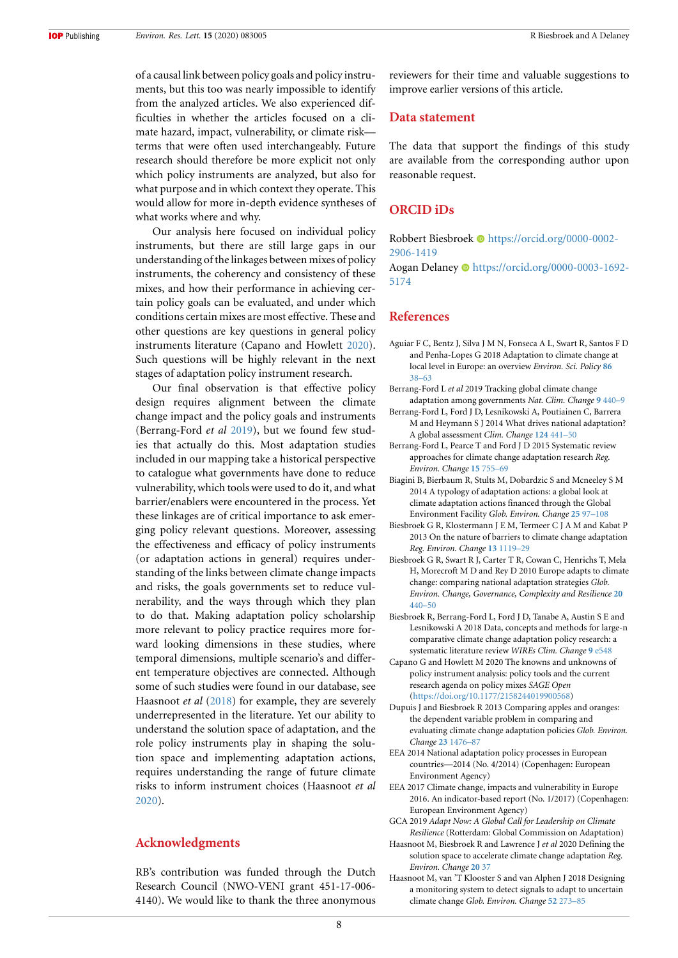of a causal link between policy goals and policy instruments, but this too was nearly impossible to identify from the analyzed articles. We also experienced difficulties in whether the articles focused on a climate hazard, impact, vulnerability, or climate risk terms that were often used interchangeably. Future research should therefore be more explicit not only which policy instruments are analyzed, but also for what purpose and in which context they operate. This would allow for more in-depth evidence syntheses of what works where and why.

Our analysis here focused on individual policy instruments, but there are still large gaps in our understanding of the linkages between mixes of policy instruments, the coherency and consistency of these mixes, and how their performance in achieving certain policy goals can be evaluated, and under which conditions certain mixes are most effective. These and other questions are key questions in general policy instruments literature (Capano and Howlett [2020\)](#page-8-5). Such questions will be highly relevant in the next stages of adaptation policy instrument research.

Our final observation is that effective policy design requires alignment between the climate change impact and the policy goals and instruments (Berrang-Ford *et al* [2019\)](#page-8-13), but we found few studies that actually do this. Most adaptation studies included in our mapping take a historical perspective to catalogue what governments have done to reduce vulnerability, which tools were used to do it, and what barrier/enablers were encountered in the process. Yet these linkages are of critical importance to ask emerging policy relevant questions. Moreover, assessing the effectiveness and efficacy of policy instruments (or adaptation actions in general) requires understanding of the links between climate change impacts and risks, the goals governments set to reduce vulnerability, and the ways through which they plan to do that. Making adaptation policy scholarship more relevant to policy practice requires more forward looking dimensions in these studies, where temporal dimensions, multiple scenario's and different temperature objectives are connected. Although some of such studies were found in our database, see Haasnoot *et al* [\(2018\)](#page-8-14) for example, they are severely underrepresented in the literature. Yet our ability to understand the solution space of adaptation, and the role policy instruments play in shaping the solution space and implementing adaptation actions, requires understanding the range of future climate risks to inform instrument choices (Haasnoot *et al* [2020](#page-8-4)).

## **Acknowledgments**

RB's contribution was funded through the Dutch Research Council (NWO-VENI grant 451-17-006- 4140). We would like to thank the three anonymous reviewers for their time and valuable suggestions to improve earlier versions of this article.

#### **Data statement**

The data that support the findings of this study are available from the corresponding author upon reasonable request.

#### **ORCID iDs**

Robbert Biesbroek  $\bullet$  [https://orcid.org/0000-0002-](https://orcid.org/0000-0002-2906-1419) [2906-1419](https://orcid.org/0000-0002-2906-1419)

Aogan Delaney · [https://orcid.org/0000-0003-1692-](https://orcid.org/0000-0003-1692-5174) [5174](https://orcid.org/0000-0003-1692-5174)

## **References**

- <span id="page-8-2"></span>Aguiar F C, Bentz J, Silva J M N, Fonseca A L, Swart R, Santos F D and Penha-Lopes G 2018 Adaptation to climate change at local level in Europe: an overview *Environ. Sci. Policy* **[86](https://doi.org/10.1016/j.envsci.2018.04.010)** [38–63](https://doi.org/10.1016/j.envsci.2018.04.010)
- <span id="page-8-13"></span>Berrang-Ford L *et al* 2019 Tracking global climate change adaptation among governments *Nat. Clim. Change* **[9](https://doi.org/10.1038/s41558-019-0490-0)** [440–9](https://doi.org/10.1038/s41558-019-0490-0)
- <span id="page-8-12"></span>Berrang-Ford L, Ford J D, Lesnikowski A, Poutiainen C, Barrera M and Heymann S J 2014 What drives national adaptation? A global assessment *Clim. Change* **[124](https://doi.org/10.1007/s10584-014-1078-3)** [441–50](https://doi.org/10.1007/s10584-014-1078-3)
- <span id="page-8-7"></span>Berrang-Ford L, Pearce T and Ford J D 2015 Systematic review approaches for climate change adaptation research *Reg. Environ. Change* **[15](https://doi.org/10.1007/s10113-014-0708-7)** [755–69](https://doi.org/10.1007/s10113-014-0708-7)
- <span id="page-8-6"></span>Biagini B, Bierbaum R, Stults M, Dobardzic S and Mcneeley S M 2014 A typology of adaptation actions: a global look at climate adaptation actions financed through the Global Environment Facility *Glob. Environ. Change* **[25](https://doi.org/10.1016/j.gloenvcha.2014.01.003)** [97–108](https://doi.org/10.1016/j.gloenvcha.2014.01.003)
- <span id="page-8-8"></span>Biesbroek G R, Klostermann J E M, Termeer C J A M and Kabat P 2013 On the nature of barriers to climate change adaptation *Reg. Environ. Change* **[13](https://doi.org/10.1007/s10113-013-0421-y)** [1119–29](https://doi.org/10.1007/s10113-013-0421-y)
- <span id="page-8-1"></span>Biesbroek G R, Swart R J, Carter T R, Cowan C, Henrichs T, Mela H, Morecroft M D and Rey D 2010 Europe adapts to climate change: comparing national adaptation strategies *Glob. Environ. Change, Governance, Complexity and Resilience* **[20](https://doi.org/10.1016/j.gloenvcha.2010.03.005)** [440–50](https://doi.org/10.1016/j.gloenvcha.2010.03.005)
- <span id="page-8-10"></span>Biesbroek R, Berrang-Ford L, Ford J D, Tanabe A, Austin S E and Lesnikowski A 2018 Data, concepts and methods for large-n comparative climate change adaptation policy research: a systematic literature review *WIREs Clim. Change* **[9](https://doi.org/10.1002/wcc.548)** [e548](https://doi.org/10.1002/wcc.548)
- <span id="page-8-5"></span>Capano G and Howlett M 2020 The knowns and unknowns of policy instrument analysis: policy tools and the current research agenda on policy mixes *SAGE Open* ([https://doi.org/10.1177/2158244019900568\)](https://doi.org/10.1177/2158244019900568)
- <span id="page-8-9"></span>Dupuis J and Biesbroek R 2013 Comparing apples and oranges: the dependent variable problem in comparing and evaluating climate change adaptation policies *Glob. Environ. Change* **[23](https://doi.org/10.1016/j.gloenvcha.2013.07.022)** [1476–87](https://doi.org/10.1016/j.gloenvcha.2013.07.022)
- <span id="page-8-11"></span>EEA 2014 National adaptation policy processes in European countries—2014 (No. 4/2014) (Copenhagen: European Environment Agency)
- <span id="page-8-0"></span>EEA 2017 Climate change, impacts and vulnerability in Europe 2016. An indicator-based report (No. 1/2017) (Copenhagen: European Environment Agency)
- <span id="page-8-3"></span>GCA 2019 *Adapt Now: A Global Call for Leadership on Climate Resilience* (Rotterdam: Global Commission on Adaptation)
- <span id="page-8-4"></span>Haasnoot M, Biesbroek R and Lawrence J *et al* 2020 Defining the solution space to accelerate climate change adaptation *Reg. Environ. Change* **[20](https://doi.org/10.1007/s10113-020-01623-8)** [37](https://doi.org/10.1007/s10113-020-01623-8)
- <span id="page-8-14"></span>Haasnoot M, van 'T Klooster S and van Alphen J 2018 Designing a monitoring system to detect signals to adapt to uncertain climate change *Glob. Environ. Change* **[52](https://doi.org/10.1016/j.gloenvcha.2018.08.003)** [273–85](https://doi.org/10.1016/j.gloenvcha.2018.08.003)